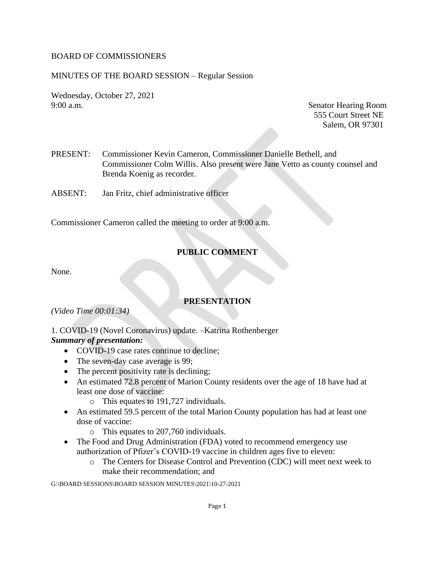### BOARD OF COMMISSIONERS

### MINUTES OF THE BOARD SESSION – Regular Session

Wednesday, October 27, 2021 9:00 a.m. Senator Hearing Room

555 Court Street NE Salem, OR 97301

- PRESENT: Commissioner Kevin Cameron, Commissioner Danielle Bethell, and Commissioner Colm Willis. Also present were Jane Vetto as county counsel and Brenda Koenig as recorder.
- ABSENT: Jan Fritz, chief administrative officer

Commissioner Cameron called the meeting to order at 9:00 a.m.

## **PUBLIC COMMENT**

None.

## **PRESENTATION**

*(Video Time 00:01:34)*

### 1. COVID-19 (Novel Coronavirus) update. –Katrina Rothenberger *Summary of presentation:*

- COVID-19 case rates continue to decline;
- The seven-day case average is 99;
- The percent positivity rate is declining;
- An estimated 72.8 percent of Marion County residents over the age of 18 have had at least one dose of vaccine:
	- o This equates to 191,727 individuals.
- An estimated 59.5 percent of the total Marion County population has had at least one dose of vaccine:
	- o This equates to 207,760 individuals.
- The Food and Drug Administration (FDA) voted to recommend emergency use authorization of Pfizer's COVID-19 vaccine in children ages five to eleven:
	- o The Centers for Disease Control and Prevention (CDC) will meet next week to make their recommendation; and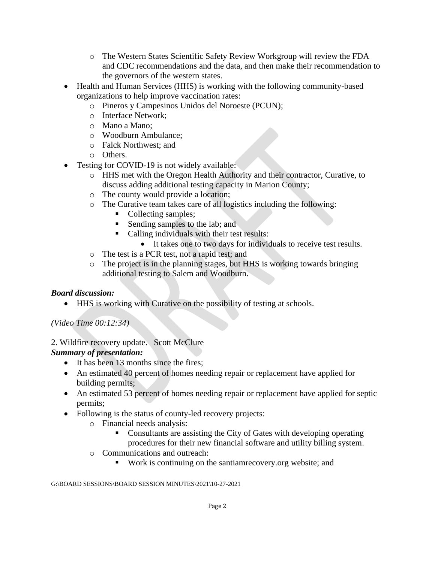- o The Western States Scientific Safety Review Workgroup will review the FDA and CDC recommendations and the data, and then make their recommendation to the governors of the western states.
- Health and Human Services (HHS) is working with the following community-based organizations to help improve vaccination rates:
	- o Pineros y Campesinos Unidos del Noroeste (PCUN);
	- o Interface Network;
	- o Mano a Mano;
	- o Woodburn Ambulance;
	- o Falck Northwest; and
	- o Others.
- Testing for COVID-19 is not widely available:
	- o HHS met with the Oregon Health Authority and their contractor, Curative, to discuss adding additional testing capacity in Marion County;
	- o The county would provide a location;
	- o The Curative team takes care of all logistics including the following:
		- Collecting samples;
		- Sending samples to the lab; and
		- Calling individuals with their test results:
		- It takes one to two days for individuals to receive test results.
	- o The test is a PCR test, not a rapid test; and
	- o The project is in the planning stages, but HHS is working towards bringing additional testing to Salem and Woodburn.

## *Board discussion:*

• HHS is working with Curative on the possibility of testing at schools.

# *(Video Time 00:12:34)*

## 2. Wildfire recovery update. –Scott McClure

# *Summary of presentation:*

- It has been 13 months since the fires;
- An estimated 40 percent of homes needing repair or replacement have applied for building permits;
- An estimated 53 percent of homes needing repair or replacement have applied for septic permits;
- Following is the status of county-led recovery projects:
	- o Financial needs analysis:
		- Consultants are assisting the City of Gates with developing operating procedures for their new financial software and utility billing system.
	- o Communications and outreach:
		- Work is continuing on the santiamrecovery.org website; and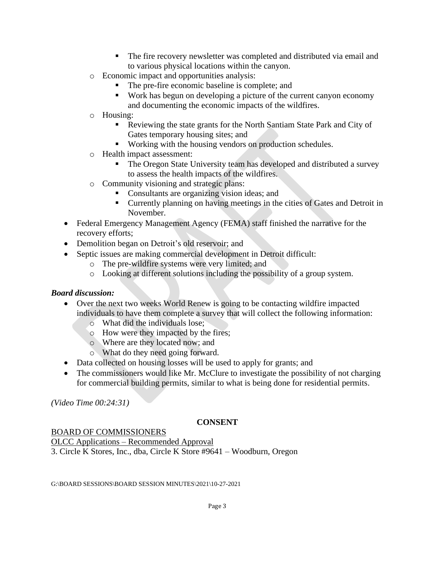- The fire recovery newsletter was completed and distributed via email and to various physical locations within the canyon.
- o Economic impact and opportunities analysis:
	- The pre-fire economic baseline is complete; and
	- Work has begun on developing a picture of the current canyon economy and documenting the economic impacts of the wildfires.
- o Housing:
	- Reviewing the state grants for the North Santiam State Park and City of Gates temporary housing sites; and
	- Working with the housing vendors on production schedules.
- o Health impact assessment:
	- The Oregon State University team has developed and distributed a survey to assess the health impacts of the wildfires.
- o Community visioning and strategic plans:
	- Consultants are organizing vision ideas; and
	- Currently planning on having meetings in the cities of Gates and Detroit in November.
- Federal Emergency Management Agency (FEMA) staff finished the narrative for the recovery efforts;
- Demolition began on Detroit's old reservoir; and
- Septic issues are making commercial development in Detroit difficult:
	- o The pre-wildfire systems were very limited; and
	- o Looking at different solutions including the possibility of a group system.

### *Board discussion:*

- Over the next two weeks World Renew is going to be contacting wildfire impacted individuals to have them complete a survey that will collect the following information:
	- o What did the individuals lose;
	- o How were they impacted by the fires;
	- o Where are they located now; and
	- o What do they need going forward.
- Data collected on housing losses will be used to apply for grants; and
- The commissioners would like Mr. McClure to investigate the possibility of not charging for commercial building permits, similar to what is being done for residential permits.

*(Video Time 00:24:31)*

## **CONSENT**

### BOARD OF COMMISSIONERS

OLCC Applications – Recommended Approval 3. Circle K Stores, Inc., dba, Circle K Store #9641 – Woodburn, Oregon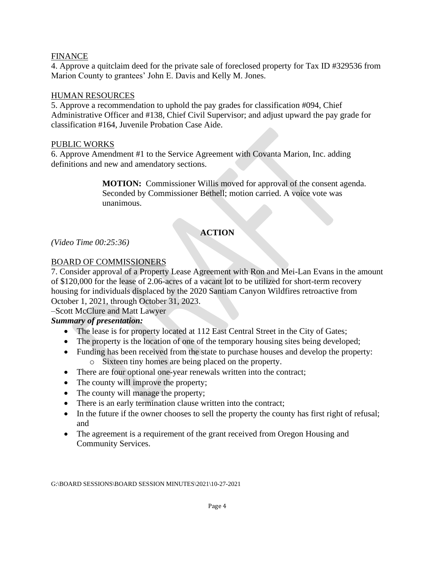#### FINANCE

4. Approve a quitclaim deed for the private sale of foreclosed property for Tax ID #329536 from Marion County to grantees' John E. Davis and Kelly M. Jones.

#### HUMAN RESOURCES

5. Approve a recommendation to uphold the pay grades for classification #094, Chief Administrative Officer and #138, Chief Civil Supervisor; and adjust upward the pay grade for classification #164, Juvenile Probation Case Aide.

#### PUBLIC WORKS

6. Approve Amendment #1 to the Service Agreement with Covanta Marion, Inc. adding definitions and new and amendatory sections.

> **MOTION:** Commissioner Willis moved for approval of the consent agenda. Seconded by Commissioner Bethell; motion carried. A voice vote was unanimous.

# **ACTION**

*(Video Time 00:25:36)*

### BOARD OF COMMISSIONERS

7. Consider approval of a Property Lease Agreement with Ron and Mei-Lan Evans in the amount of \$120,000 for the lease of 2.06-acres of a vacant lot to be utilized for short-term recovery housing for individuals displaced by the 2020 Santiam Canyon Wildfires retroactive from October 1, 2021, through October 31, 2023.

–Scott McClure and Matt Lawyer

### *Summary of presentation:*

- The lease is for property located at 112 East Central Street in the City of Gates;
- The property is the location of one of the temporary housing sites being developed;
- Funding has been received from the state to purchase houses and develop the property: o Sixteen tiny homes are being placed on the property.
- There are four optional one-year renewals written into the contract;
- The county will improve the property;
- The county will manage the property;
- There is an early termination clause written into the contract;
- In the future if the owner chooses to sell the property the county has first right of refusal; and
- The agreement is a requirement of the grant received from Oregon Housing and Community Services.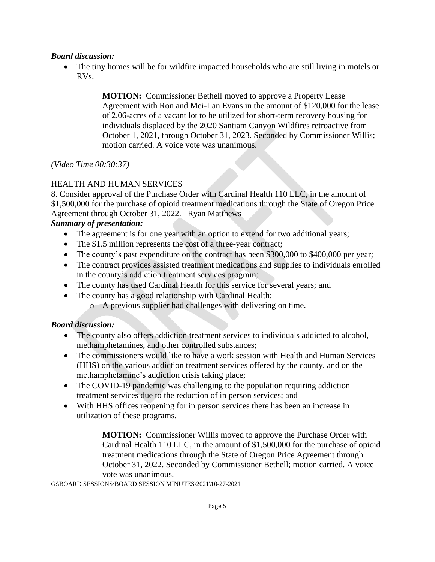### *Board discussion:*

• The tiny homes will be for wildfire impacted households who are still living in motels or RVs.

> **MOTION:** Commissioner Bethell moved to approve a Property Lease Agreement with Ron and Mei-Lan Evans in the amount of \$120,000 for the lease of 2.06-acres of a vacant lot to be utilized for short-term recovery housing for individuals displaced by the 2020 Santiam Canyon Wildfires retroactive from October 1, 2021, through October 31, 2023. Seconded by Commissioner Willis; motion carried. A voice vote was unanimous.

*(Video Time 00:30:37)*

### HEALTH AND HUMAN SERVICES

8. Consider approval of the Purchase Order with Cardinal Health 110 LLC, in the amount of \$1,500,000 for the purchase of opioid treatment medications through the State of Oregon Price Agreement through October 31, 2022. –Ryan Matthews

#### *Summary of presentation:*

- The agreement is for one year with an option to extend for two additional years;
- The \$1.5 million represents the cost of a three-year contract;
- The county's past expenditure on the contract has been \$300,000 to \$400,000 per year;
- The contract provides assisted treatment medications and supplies to individuals enrolled in the county's addiction treatment services program;
- The county has used Cardinal Health for this service for several years; and
- The county has a good relationship with Cardinal Health:
	- o A previous supplier had challenges with delivering on time.

### *Board discussion:*

- The county also offers addiction treatment services to individuals addicted to alcohol, methamphetamines, and other controlled substances;
- The commissioners would like to have a work session with Health and Human Services (HHS) on the various addiction treatment services offered by the county, and on the methamphetamine's addiction crisis taking place;
- The COVID-19 pandemic was challenging to the population requiring addiction treatment services due to the reduction of in person services; and
- With HHS offices reopening for in person services there has been an increase in utilization of these programs.

**MOTION:** Commissioner Willis moved to approve the Purchase Order with Cardinal Health 110 LLC, in the amount of \$1,500,000 for the purchase of opioid treatment medications through the State of Oregon Price Agreement through October 31, 2022. Seconded by Commissioner Bethell; motion carried. A voice vote was unanimous.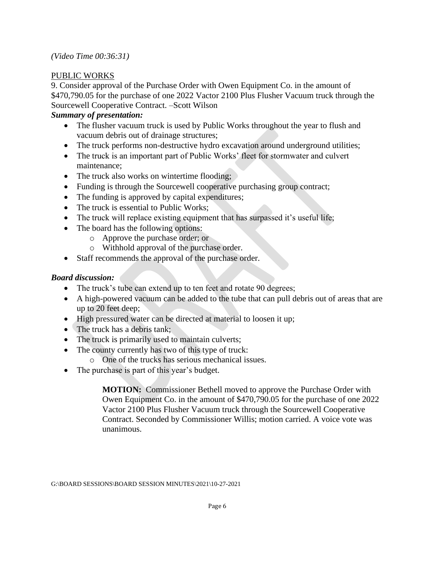### PUBLIC WORKS

9. Consider approval of the Purchase Order with Owen Equipment Co. in the amount of \$470,790.05 for the purchase of one 2022 Vactor 2100 Plus Flusher Vacuum truck through the Sourcewell Cooperative Contract. –Scott Wilson

### *Summary of presentation:*

- The flusher vacuum truck is used by Public Works throughout the year to flush and vacuum debris out of drainage structures;
- The truck performs non-destructive hydro excavation around underground utilities;
- The truck is an important part of Public Works' fleet for stormwater and culvert maintenance;
- The truck also works on wintertime flooding;
- Funding is through the Sourcewell cooperative purchasing group contract;
- The funding is approved by capital expenditures;
- The truck is essential to Public Works;
- The truck will replace existing equipment that has surpassed it's useful life;
- The board has the following options:
	- o Approve the purchase order; or
	- o Withhold approval of the purchase order.
- Staff recommends the approval of the purchase order.

## *Board discussion:*

- The truck's tube can extend up to ten feet and rotate 90 degrees;
- A high-powered vacuum can be added to the tube that can pull debris out of areas that are up to 20 feet deep;
- High pressured water can be directed at material to loosen it up;
- The truck has a debris tank:
- The truck is primarily used to maintain culverts;
- The county currently has two of this type of truck:
	- o One of the trucks has serious mechanical issues.
- The purchase is part of this year's budget.

**MOTION:** Commissioner Bethell moved to approve the Purchase Order with Owen Equipment Co. in the amount of \$470,790.05 for the purchase of one 2022 Vactor 2100 Plus Flusher Vacuum truck through the Sourcewell Cooperative Contract. Seconded by Commissioner Willis; motion carried. A voice vote was unanimous.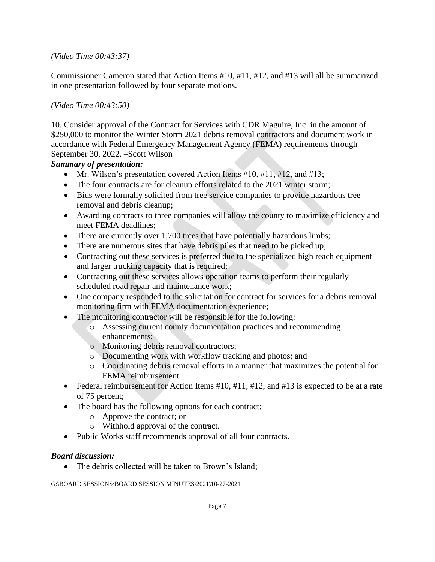*(Video Time 00:43:37)*

Commissioner Cameron stated that Action Items #10, #11, #12, and #13 will all be summarized in one presentation followed by four separate motions.

### *(Video Time 00:43:50)*

10. Consider approval of the Contract for Services with CDR Maguire, Inc. in the amount of \$250,000 to monitor the Winter Storm 2021 debris removal contractors and document work in accordance with Federal Emergency Management Agency (FEMA) requirements through September 30, 2022. –Scott Wilson

### *Summary of presentation:*

- Mr. Wilson's presentation covered Action Items  $#10, #11, #12,$  and  $#13$ ;
- The four contracts are for cleanup efforts related to the 2021 winter storm;
- Bids were formally solicited from tree service companies to provide hazardous tree removal and debris cleanup;
- Awarding contracts to three companies will allow the county to maximize efficiency and meet FEMA deadlines;
- There are currently over 1,700 trees that have potentially hazardous limbs;
- There are numerous sites that have debris piles that need to be picked up;
- Contracting out these services is preferred due to the specialized high reach equipment and larger trucking capacity that is required;
- Contracting out these services allows operation teams to perform their regularly scheduled road repair and maintenance work;
- One company responded to the solicitation for contract for services for a debris removal monitoring firm with FEMA documentation experience;
- The monitoring contractor will be responsible for the following:
	- o Assessing current county documentation practices and recommending enhancements;
	- o Monitoring debris removal contractors;
	- o Documenting work with workflow tracking and photos; and
	- o Coordinating debris removal efforts in a manner that maximizes the potential for FEMA reimbursement.
- Federal reimbursement for Action Items #10, #11, #12, and #13 is expected to be at a rate of 75 percent;
- The board has the following options for each contract:
	- o Approve the contract; or
	- o Withhold approval of the contract.
- Public Works staff recommends approval of all four contracts.

### *Board discussion:*

• The debris collected will be taken to Brown's Island;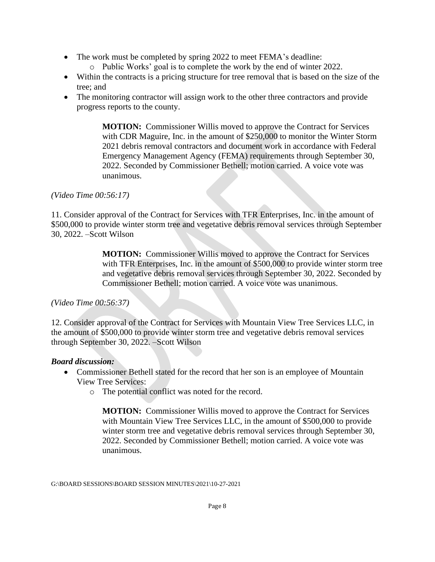- The work must be completed by spring 2022 to meet FEMA's deadline:
	- o Public Works' goal is to complete the work by the end of winter 2022.
- Within the contracts is a pricing structure for tree removal that is based on the size of the tree; and
- The monitoring contractor will assign work to the other three contractors and provide progress reports to the county.

**MOTION:** Commissioner Willis moved to approve the Contract for Services with CDR Maguire, Inc. in the amount of \$250,000 to monitor the Winter Storm 2021 debris removal contractors and document work in accordance with Federal Emergency Management Agency (FEMA) requirements through September 30, 2022. Seconded by Commissioner Bethell; motion carried. A voice vote was unanimous.

#### *(Video Time 00:56:17)*

11. Consider approval of the Contract for Services with TFR Enterprises, Inc. in the amount of \$500,000 to provide winter storm tree and vegetative debris removal services through September 30, 2022. –Scott Wilson

> **MOTION:** Commissioner Willis moved to approve the Contract for Services with TFR Enterprises, Inc. in the amount of \$500,000 to provide winter storm tree and vegetative debris removal services through September 30, 2022. Seconded by Commissioner Bethell; motion carried. A voice vote was unanimous.

#### *(Video Time 00:56:37)*

12. Consider approval of the Contract for Services with Mountain View Tree Services LLC, in the amount of \$500,000 to provide winter storm tree and vegetative debris removal services through September 30, 2022. –Scott Wilson

#### *Board discussion:*

- Commissioner Bethell stated for the record that her son is an employee of Mountain View Tree Services:
	- o The potential conflict was noted for the record.

**MOTION:** Commissioner Willis moved to approve the Contract for Services with Mountain View Tree Services LLC, in the amount of \$500,000 to provide winter storm tree and vegetative debris removal services through September 30, 2022. Seconded by Commissioner Bethell; motion carried. A voice vote was unanimous.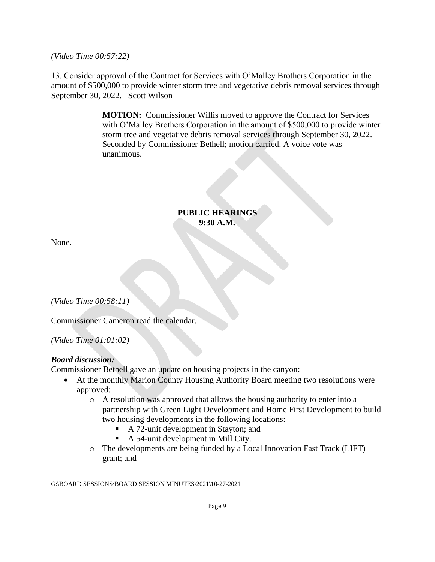*(Video Time 00:57:22)*

13. Consider approval of the Contract for Services with O'Malley Brothers Corporation in the amount of \$500,000 to provide winter storm tree and vegetative debris removal services through September 30, 2022. –Scott Wilson

> **MOTION:** Commissioner Willis moved to approve the Contract for Services with O'Malley Brothers Corporation in the amount of \$500,000 to provide winter storm tree and vegetative debris removal services through September 30, 2022. Seconded by Commissioner Bethell; motion carried. A voice vote was unanimous.

#### **PUBLIC HEARINGS 9:30 A.M.**

None.

*(Video Time 00:58:11)*

Commissioner Cameron read the calendar.

*(Video Time 01:01:02)*

### *Board discussion:*

Commissioner Bethell gave an update on housing projects in the canyon:

- At the monthly Marion County Housing Authority Board meeting two resolutions were approved:
	- o A resolution was approved that allows the housing authority to enter into a partnership with Green Light Development and Home First Development to build two housing developments in the following locations:
		- A 72-unit development in Stayton; and
		- A 54-unit development in Mill City.
	- o The developments are being funded by a Local Innovation Fast Track (LIFT) grant; and